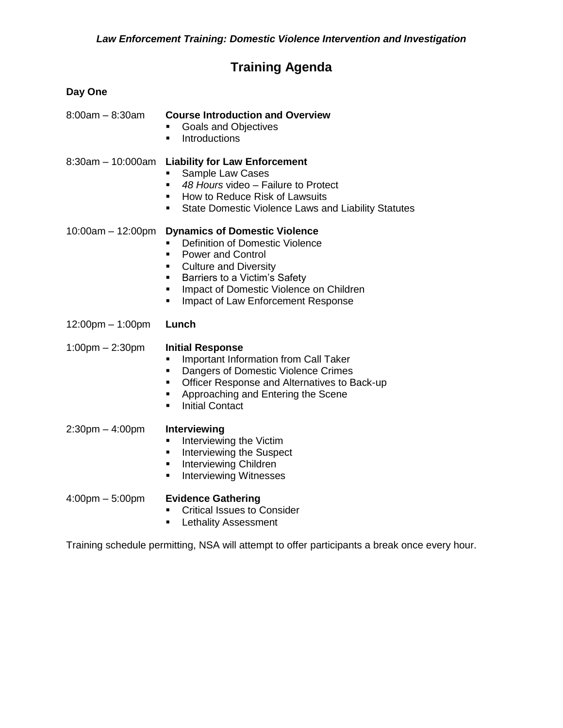## **Training Agenda**

| Day One                           |                                                                                                                                                                                                                                                                                     |
|-----------------------------------|-------------------------------------------------------------------------------------------------------------------------------------------------------------------------------------------------------------------------------------------------------------------------------------|
| $8:00am - 8:30am$                 | <b>Course Introduction and Overview</b><br><b>Goals and Objectives</b><br><b>Introductions</b><br>п                                                                                                                                                                                 |
| $8:30am - 10:000am$               | <b>Liability for Law Enforcement</b><br>Sample Law Cases<br>48 Hours video - Failure to Protect<br>$\blacksquare$<br>How to Reduce Risk of Lawsuits<br>٠<br>State Domestic Violence Laws and Liability Statutes<br>٠                                                                |
| $10:00am - 12:00pm$               | <b>Dynamics of Domestic Violence</b><br>Definition of Domestic Violence<br>٠<br><b>Power and Control</b><br>٠<br><b>Culture and Diversity</b><br>٠<br>Barriers to a Victim's Safety<br>٠<br>Impact of Domestic Violence on Children<br>٠<br>Impact of Law Enforcement Response<br>٠ |
| 12:00pm - 1:00pm                  | Lunch                                                                                                                                                                                                                                                                               |
| $1:00 \text{pm} - 2:30 \text{pm}$ | <b>Initial Response</b><br>Important Information from Call Taker<br>Ξ<br>Dangers of Domestic Violence Crimes<br>٠<br>Officer Response and Alternatives to Back-up<br>٠<br>Approaching and Entering the Scene<br>٠<br><b>Initial Contact</b><br>٠                                    |
| $2:30$ pm $-4:00$ pm              | Interviewing<br>Interviewing the Victim<br>٠<br>Interviewing the Suspect<br>٠<br>Interviewing Children<br>٠<br><b>Interviewing Witnesses</b><br>$\blacksquare$                                                                                                                      |
| $4:00 \text{pm} - 5:00 \text{pm}$ | <b>Evidence Gathering</b><br><b>Critical Issues to Consider</b><br><b>Lethality Assessment</b><br>٠                                                                                                                                                                                 |

Training schedule permitting, NSA will attempt to offer participants a break once every hour.